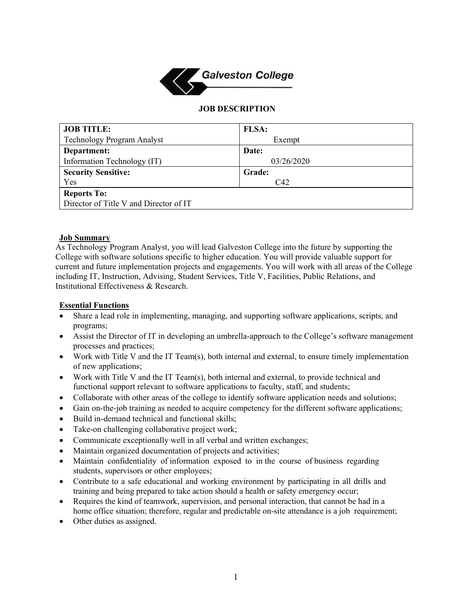

### **JOB DESCRIPTION**

| <b>JOB TITLE:</b>                      | <b>FLSA:</b> |
|----------------------------------------|--------------|
| Technology Program Analyst             | Exempt       |
| Department:                            | Date:        |
| Information Technology (IT)            | 03/26/2020   |
| <b>Security Sensitive:</b>             | Grade:       |
| Yes                                    | C42          |
| <b>Reports To:</b>                     |              |
| Director of Title V and Director of IT |              |

#### **Job Summary**

As Technology Program Analyst, you will lead Galveston College into the future by supporting the College with software solutions specific to higher education. You will provide valuable support for current and future implementation projects and engagements. You will work with all areas of the College including IT, Instruction, Advising, Student Services, Title V, Facilities, Public Relations, and Institutional Effectiveness & Research.

### **Essential Functions**

- Share a lead role in implementing, managing, and supporting software applications, scripts, and programs;
- Assist the Director of IT in developing an umbrella-approach to the College's software management processes and practices;
- Work with Title V and the IT Team(s), both internal and external, to ensure timely implementation of new applications;
- Work with Title V and the IT Team(s), both internal and external, to provide technical and functional support relevant to software applications to faculty, staff, and students;
- Collaborate with other areas of the college to identify software application needs and solutions;
- Gain on-the-job training as needed to acquire competency for the different software applications;
- Build in-demand technical and functional skills;
- Take-on challenging collaborative project work;
- Communicate exceptionally well in all verbal and written exchanges;
- Maintain organized documentation of projects and activities;
- Maintain confidentiality of information exposed to in the course of business regarding students, supervisors or other employees;
- Contribute to a safe educational and working environment by participating in all drills and training and being prepared to take action should a health or safety emergency occur;
- Requires the kind of teamwork, supervision, and personal interaction, that cannot be had in a home office situation; therefore, regular and predictable on-site attendance is a job requirement;
- Other duties as assigned.